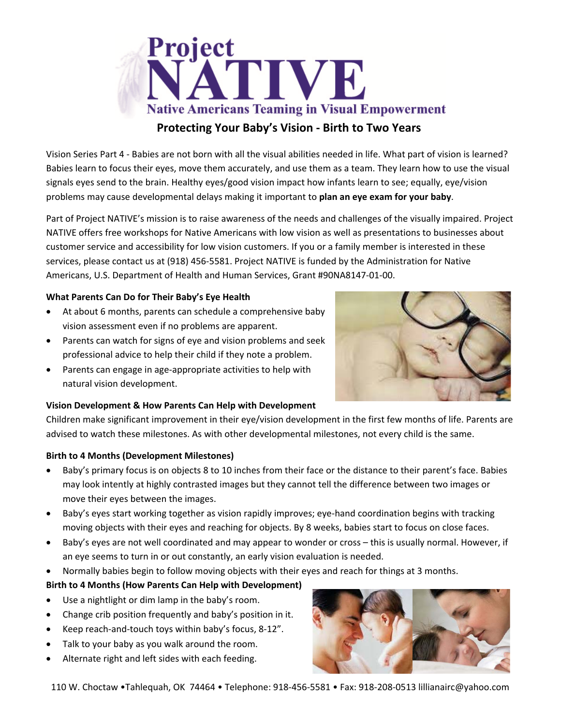

Vision Series Part 4 ‐ Babies are not born with all the visual abilities needed in life. What part of vision is learned? Babies learn to focus their eyes, move them accurately, and use them as a team. They learn how to use the visual signals eyes send to the brain. Healthy eyes/good vision impact how infants learn to see; equally, eye/vision problems may cause developmental delays making it important to **plan an eye exam for your baby**.

Part of Project NATIVE's mission is to raise awareness of the needs and challenges of the visually impaired. Project NATIVE offers free workshops for Native Americans with low vision as well as presentations to businesses about customer service and accessibility for low vision customers. If you or a family member is interested in these services, please contact us at (918) 456‐5581. Project NATIVE is funded by the Administration for Native Americans, U.S. Department of Health and Human Services, Grant #90NA8147‐01‐00.

## **What Parents Can Do for Their Baby's Eye Health**

- At about 6 months, parents can schedule a comprehensive baby vision assessment even if no problems are apparent.
- Parents can watch for signs of eye and vision problems and seek professional advice to help their child if they note a problem.
- Parents can engage in age‐appropriate activities to help with natural vision development.

### **Vision Development & How Parents Can Help with Development**

Children make significant improvement in their eye/vision development in the first few months of life. Parents are advised to watch these milestones. As with other developmental milestones, not every child is the same.

### **Birth to 4 Months (Development Milestones)**

- Baby's primary focus is on objects 8 to 10 inches from their face or the distance to their parent's face. Babies may look intently at highly contrasted images but they cannot tell the difference between two images or move their eyes between the images.
- Baby's eyes start working together as vision rapidly improves; eye-hand coordination begins with tracking moving objects with their eyes and reaching for objects. By 8 weeks, babies start to focus on close faces.
- Baby's eyes are not well coordinated and may appear to wonder or cross this is usually normal. However, if an eye seems to turn in or out constantly, an early vision evaluation is needed.
- Normally babies begin to follow moving objects with their eyes and reach for things at 3 months.

# **Birth to 4 Months (How Parents Can Help with Development)**

- Use a nightlight or dim lamp in the baby's room.
- Change crib position frequently and baby's position in it.
- Keep reach‐and‐touch toys within baby's focus, 8‐12".
- Talk to your baby as you walk around the room.
- Alternate right and left sides with each feeding.



110 W. Choctaw •Tahlequah, OK 74464 • Telephone: 918‐456‐5581 • Fax: 918‐208‐0513 lillianairc@yahoo.com